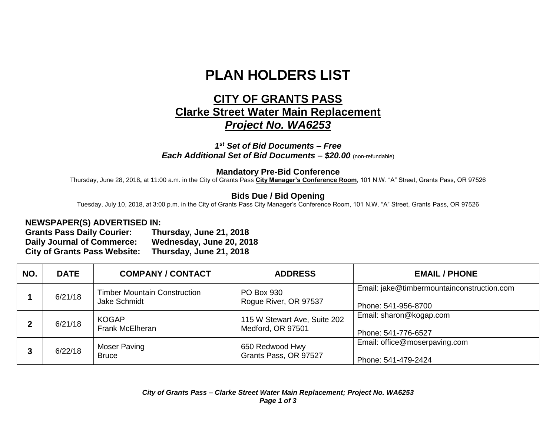# **PLAN HOLDERS LIST**

## **CITY OF GRANTS PASS Clarke Street Water Main Replacement** *Project No. WA6253*

*1 st Set of Bid Documents – Free Each Additional Set of Bid Documents – \$20.00* (non-refundable)

#### **Mandatory Pre-Bid Conference**

Thursday, June 28, 2018**,** at 11:00 a.m. in the City of Grants Pass **City Manager's Conference Room**, 101 N.W. "A" Street, Grants Pass, OR 97526

### **Bids Due / Bid Opening**

Tuesday, July 10, 2018, at 3:00 p.m. in the City of Grants Pass City Manager's Conference Room, 101 N.W. "A" Street, Grants Pass, OR 97526

#### **NEWSPAPER(S) ADVERTISED IN:**

**Grants Pass Daily Courier: Thursday, June 21, 2018 Daily Journal of Commerce: Wednesday, June 20, 2018 City of Grants Pass Website: Thursday, June 21, 2018**

| NO. | <b>DATE</b> | <b>COMPANY / CONTACT</b>                            | <b>ADDRESS</b>                                    | <b>EMAIL / PHONE</b>                                              |
|-----|-------------|-----------------------------------------------------|---------------------------------------------------|-------------------------------------------------------------------|
|     | 6/21/18     | <b>Timber Mountain Construction</b><br>Jake Schmidt | <b>PO Box 930</b><br>Rogue River, OR 97537        | Email: jake@timbermountainconstruction.com<br>Phone: 541-956-8700 |
|     | 6/21/18     | <b>KOGAP</b><br><b>Frank McElheran</b>              | 115 W Stewart Ave, Suite 202<br>Medford, OR 97501 | Email: sharon@kogap.com<br>Phone: 541-776-6527                    |
|     | 6/22/18     | Moser Paving<br><b>Bruce</b>                        | 650 Redwood Hwy<br>Grants Pass, OR 97527          | Email: office@moserpaving.com<br>Phone: 541-479-2424              |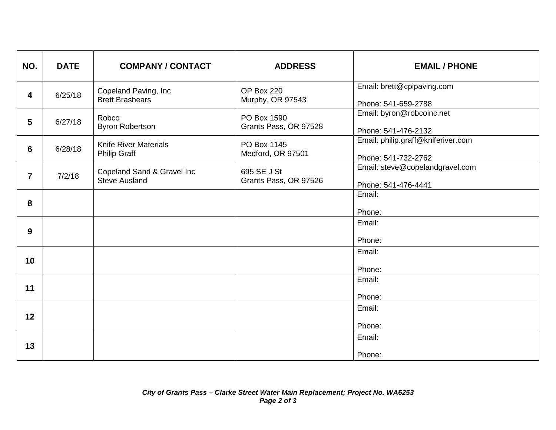| NO.            | <b>DATE</b> | <b>COMPANY / CONTACT</b>                            | <b>ADDRESS</b>                       | <b>EMAIL / PHONE</b>                                      |
|----------------|-------------|-----------------------------------------------------|--------------------------------------|-----------------------------------------------------------|
| 4              | 6/25/18     | Copeland Paving, Inc<br><b>Brett Brashears</b>      | OP Box 220<br>Murphy, OR 97543       | Email: brett@cpipaving.com<br>Phone: 541-659-2788         |
| 5              | 6/27/18     | Robco<br><b>Byron Robertson</b>                     | PO Box 1590<br>Grants Pass, OR 97528 | Email: byron@robcoinc.net<br>Phone: 541-476-2132          |
| 6              | 6/28/18     | <b>Knife River Materials</b><br><b>Philip Graff</b> | PO Box 1145<br>Medford, OR 97501     | Email: philip.graff@kniferiver.com<br>Phone: 541-732-2762 |
| $\overline{7}$ | 7/2/18      | Copeland Sand & Gravel Inc<br><b>Steve Ausland</b>  | 695 SE J St<br>Grants Pass, OR 97526 | Email: steve@copelandgravel.com<br>Phone: 541-476-4441    |
| 8              |             |                                                     |                                      | Email:<br>Phone:                                          |
| 9              |             |                                                     |                                      | Email:<br>Phone:                                          |
| 10             |             |                                                     |                                      | Email:<br>Phone:                                          |
| 11             |             |                                                     |                                      | Email:<br>Phone:                                          |
| 12             |             |                                                     |                                      | Email:<br>Phone:                                          |
| 13             |             |                                                     |                                      | Email:<br>Phone:                                          |